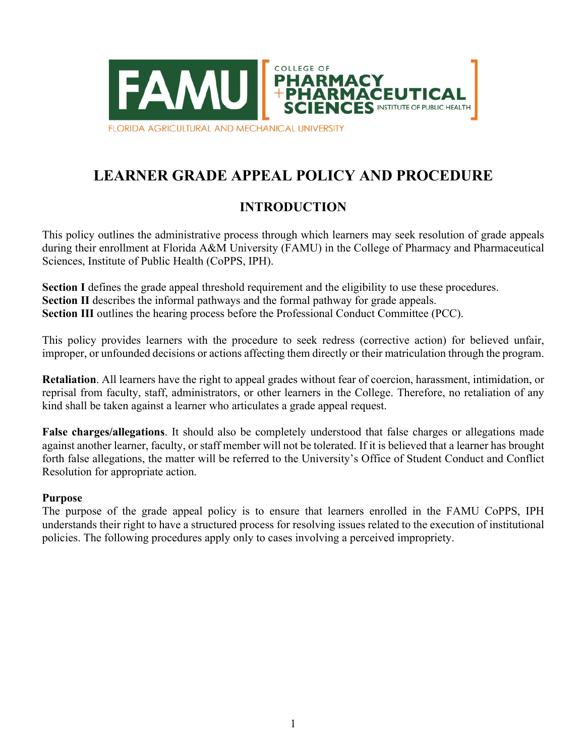

# **LEARNER GRADE APPEAL POLICY AND PROCEDURE**

## **INTRODUCTION**

This policy outlines the administrative process through which learners may seek resolution of grade appeals during their enrollment at Florida A&M University (FAMU) in the College of Pharmacy and Pharmaceutical Sciences, Institute of Public Health (CoPPS, IPH).

**Section** I defines the grade appeal threshold requirement and the eligibility to use these procedures. **Section II** describes the informal pathways and the formal pathway for grade appeals. **Section III** outlines the hearing process before the Professional Conduct Committee (PCC).

This policy provides learners with the procedure to seek redress (corrective action) for believed unfair, improper, or unfounded decisions or actions affecting them directly or their matriculation through the program.

**Retaliation**. All learners have the right to appeal grades without fear of coercion, harassment, intimidation, or reprisal from faculty, staff, administrators, or other learners in the College. Therefore, no retaliation of any kind shall be taken against a learner who articulates a grade appeal request.

**False charges/allegations**. It should also be completely understood that false charges or allegations made against another learner, faculty, or staff member will not be tolerated. If it is believed that a learner has brought forth false allegations, the matter will be referred to the University's Office of Student Conduct and Conflict Resolution for appropriate action.

### **Purpose**

The purpose of the grade appeal policy is to ensure that learners enrolled in the FAMU CoPPS, IPH understands their right to have a structured process for resolving issues related to the execution of institutional policies. The following procedures apply only to cases involving a perceived impropriety.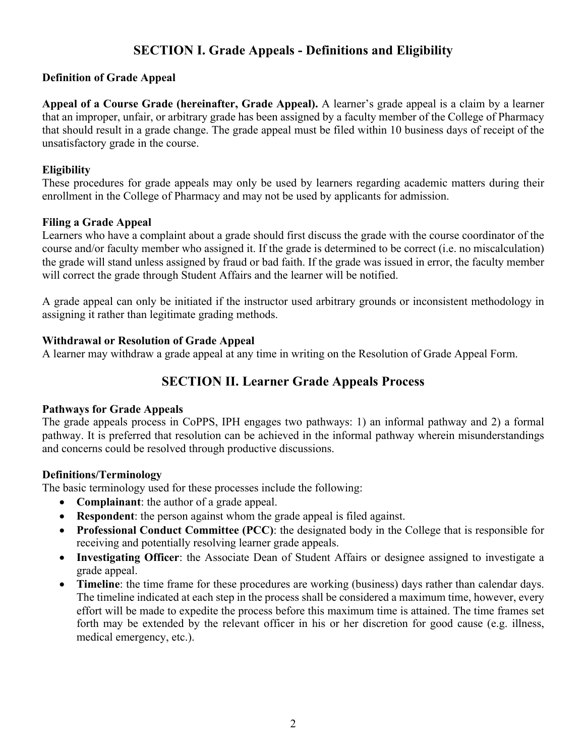## **SECTION I. Grade Appeals - Definitions and Eligibility**

## **Definition of Grade Appeal**

**Appeal of a Course Grade (hereinafter, Grade Appeal).** A learner's grade appeal is a claim by a learner that an improper, unfair, or arbitrary grade has been assigned by a faculty member of the College of Pharmacy that should result in a grade change. The grade appeal must be filed within 10 business days of receipt of the unsatisfactory grade in the course.

### **Eligibility**

These procedures for grade appeals may only be used by learners regarding academic matters during their enrollment in the College of Pharmacy and may not be used by applicants for admission.

### **Filing a Grade Appeal**

Learners who have a complaint about a grade should first discuss the grade with the course coordinator of the course and/or faculty member who assigned it. If the grade is determined to be correct (i.e. no miscalculation) the grade will stand unless assigned by fraud or bad faith. If the grade was issued in error, the faculty member will correct the grade through Student Affairs and the learner will be notified.

A grade appeal can only be initiated if the instructor used arbitrary grounds or inconsistent methodology in assigning it rather than legitimate grading methods.

### **Withdrawal or Resolution of Grade Appeal**

A learner may withdraw a grade appeal at any time in writing on the Resolution of Grade Appeal Form.

## **SECTION II. Learner Grade Appeals Process**

### **Pathways for Grade Appeals**

The grade appeals process in CoPPS, IPH engages two pathways: 1) an informal pathway and 2) a formal pathway. It is preferred that resolution can be achieved in the informal pathway wherein misunderstandings and concerns could be resolved through productive discussions.

### **Definitions/Terminology**

The basic terminology used for these processes include the following:

- **Complainant**: the author of a grade appeal.
- **Respondent**: the person against whom the grade appeal is filed against.
- **Professional Conduct Committee (PCC)**: the designated body in the College that is responsible for receiving and potentially resolving learner grade appeals.
- **Investigating Officer**: the Associate Dean of Student Affairs or designee assigned to investigate a grade appeal.
- **Timeline**: the time frame for these procedures are working (business) days rather than calendar days. The timeline indicated at each step in the process shall be considered a maximum time, however, every effort will be made to expedite the process before this maximum time is attained. The time frames set forth may be extended by the relevant officer in his or her discretion for good cause (e.g. illness, medical emergency, etc.).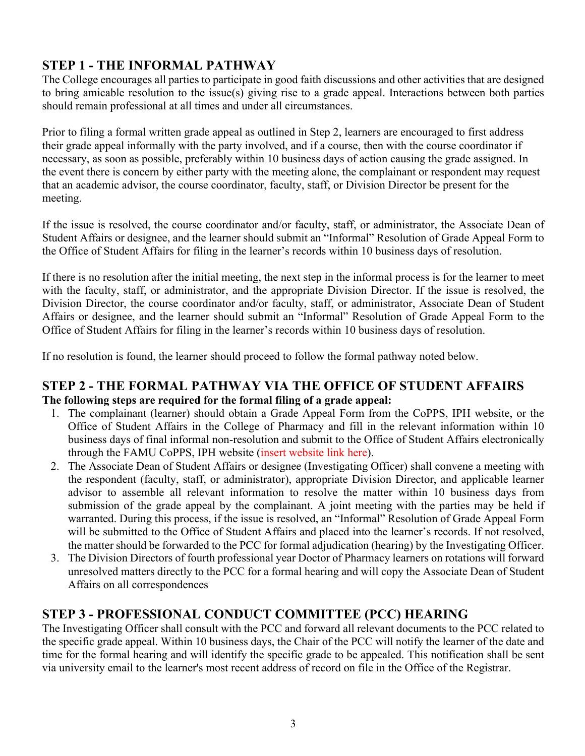## **STEP 1 - THE INFORMAL PATHWAY**

The College encourages all parties to participate in good faith discussions and other activities that are designed to bring amicable resolution to the issue(s) giving rise to a grade appeal. Interactions between both parties should remain professional at all times and under all circumstances.

Prior to filing a formal written grade appeal as outlined in Step 2, learners are encouraged to first address their grade appeal informally with the party involved, and if a course, then with the course coordinator if necessary, as soon as possible, preferably within 10 business days of action causing the grade assigned. In the event there is concern by either party with the meeting alone, the complainant or respondent may request that an academic advisor, the course coordinator, faculty, staff, or Division Director be present for the meeting.

If the issue is resolved, the course coordinator and/or faculty, staff, or administrator, the Associate Dean of Student Affairs or designee, and the learner should submit an "Informal" Resolution of Grade Appeal Form to the Office of Student Affairs for filing in the learner's records within 10 business days of resolution.

If there is no resolution after the initial meeting, the next step in the informal process is for the learner to meet with the faculty, staff, or administrator, and the appropriate Division Director. If the issue is resolved, the Division Director, the course coordinator and/or faculty, staff, or administrator, Associate Dean of Student Affairs or designee, and the learner should submit an "Informal" Resolution of Grade Appeal Form to the Office of Student Affairs for filing in the learner's records within 10 business days of resolution.

If no resolution is found, the learner should proceed to follow the formal pathway noted below.

## **STEP 2 - THE FORMAL PATHWAY VIA THE OFFICE OF STUDENT AFFAIRS The following steps are required for the formal filing of a grade appeal:**

- 1. The complainant (learner) should obtain a Grade Appeal Form from the CoPPS, IPH website, or the Office of Student Affairs in the College of Pharmacy and fill in the relevant information within 10 business days of final informal non-resolution and submit to the Office of Student Affairs electronically through the FAMU CoPPS, IPH website (insert website link here).
- 2. The Associate Dean of Student Affairs or designee (Investigating Officer) shall convene a meeting with the respondent (faculty, staff, or administrator), appropriate Division Director, and applicable learner advisor to assemble all relevant information to resolve the matter within 10 business days from submission of the grade appeal by the complainant. A joint meeting with the parties may be held if warranted. During this process, if the issue is resolved, an "Informal" Resolution of Grade Appeal Form will be submitted to the Office of Student Affairs and placed into the learner's records. If not resolved, the matter should be forwarded to the PCC for formal adjudication (hearing) by the Investigating Officer.
- 3. The Division Directors of fourth professional year Doctor of Pharmacy learners on rotations will forward unresolved matters directly to the PCC for a formal hearing and will copy the Associate Dean of Student Affairs on all correspondences

## **STEP 3 - PROFESSIONAL CONDUCT COMMITTEE (PCC) HEARING**

The Investigating Officer shall consult with the PCC and forward all relevant documents to the PCC related to the specific grade appeal. Within 10 business days, the Chair of the PCC will notify the learner of the date and time for the formal hearing and will identify the specific grade to be appealed. This notification shall be sent via university email to the learner's most recent address of record on file in the Office of the Registrar.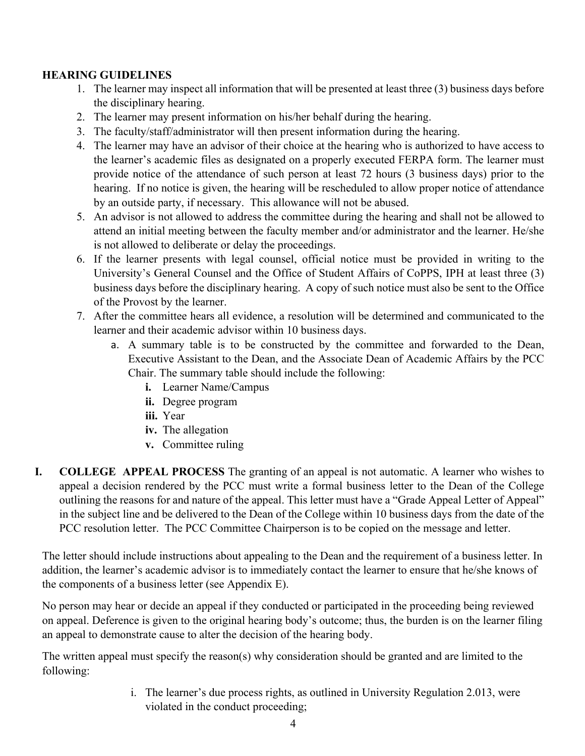## **HEARING GUIDELINES**

- 1. The learner may inspect all information that will be presented at least three (3) business days before the disciplinary hearing.
- 2. The learner may present information on his/her behalf during the hearing.
- 3. The faculty/staff/administrator will then present information during the hearing.
- 4. The learner may have an advisor of their choice at the hearing who is authorized to have access to the learner's academic files as designated on a properly executed FERPA form. The learner must provide notice of the attendance of such person at least 72 hours (3 business days) prior to the hearing. If no notice is given, the hearing will be rescheduled to allow proper notice of attendance by an outside party, if necessary. This allowance will not be abused.
- 5. An advisor is not allowed to address the committee during the hearing and shall not be allowed to attend an initial meeting between the faculty member and/or administrator and the learner. He/she is not allowed to deliberate or delay the proceedings.
- 6. If the learner presents with legal counsel, official notice must be provided in writing to the University's General Counsel and the Office of Student Affairs of CoPPS, IPH at least three (3) business days before the disciplinary hearing. A copy of such notice must also be sent to the Office of the Provost by the learner.
- 7. After the committee hears all evidence, a resolution will be determined and communicated to the learner and their academic advisor within 10 business days.
	- a. A summary table is to be constructed by the committee and forwarded to the Dean, Executive Assistant to the Dean, and the Associate Dean of Academic Affairs by the PCC Chair. The summary table should include the following:
		- **i.** Learner Name/Campus
		- **ii.** Degree program
		- **iii.** Year
		- **iv.** The allegation
		- **v.** Committee ruling
- **I. COLLEGE APPEAL PROCESS** The granting of an appeal is not automatic. A learner who wishes to appeal a decision rendered by the PCC must write a formal business letter to the Dean of the College outlining the reasons for and nature of the appeal. This letter must have a "Grade Appeal Letter of Appeal" in the subject line and be delivered to the Dean of the College within 10 business days from the date of the PCC resolution letter. The PCC Committee Chairperson is to be copied on the message and letter.

The letter should include instructions about appealing to the Dean and the requirement of a business letter. In addition, the learner's academic advisor is to immediately contact the learner to ensure that he/she knows of the components of a business letter (see Appendix E).

No person may hear or decide an appeal if they conducted or participated in the proceeding being reviewed on appeal. Deference is given to the original hearing body's outcome; thus, the burden is on the learner filing an appeal to demonstrate cause to alter the decision of the hearing body.

The written appeal must specify the reason(s) why consideration should be granted and are limited to the following:

> i. The learner's due process rights, as outlined in University Regulation 2.013, were violated in the conduct proceeding;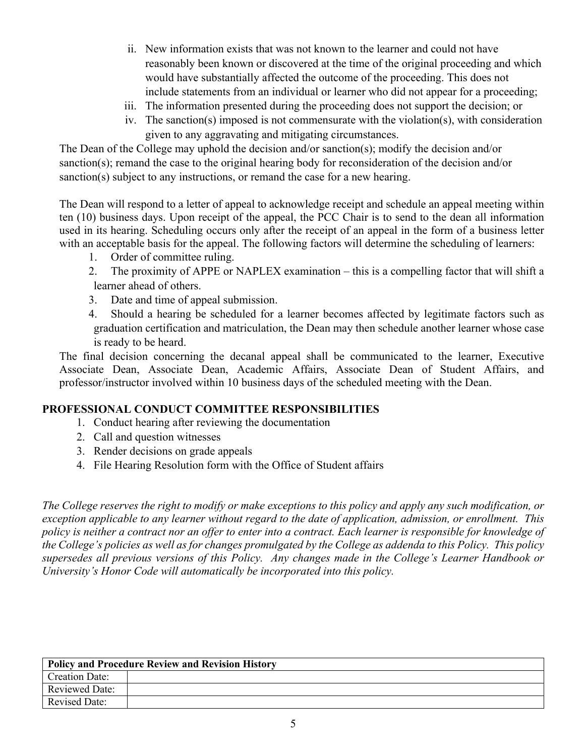- ii. New information exists that was not known to the learner and could not have reasonably been known or discovered at the time of the original proceeding and which would have substantially affected the outcome of the proceeding. This does not include statements from an individual or learner who did not appear for a proceeding;
- iii. The information presented during the proceeding does not support the decision; or
- iv. The sanction(s) imposed is not commensurate with the violation(s), with consideration given to any aggravating and mitigating circumstances.

The Dean of the College may uphold the decision and/or sanction(s); modify the decision and/or sanction(s); remand the case to the original hearing body for reconsideration of the decision and/or sanction(s) subject to any instructions, or remand the case for a new hearing.

The Dean will respond to a letter of appeal to acknowledge receipt and schedule an appeal meeting within ten (10) business days. Upon receipt of the appeal, the PCC Chair is to send to the dean all information used in its hearing. Scheduling occurs only after the receipt of an appeal in the form of a business letter with an acceptable basis for the appeal. The following factors will determine the scheduling of learners:

- 1. Order of committee ruling.
- 2. The proximity of APPE or NAPLEX examination this is a compelling factor that will shift a learner ahead of others.
- 3. Date and time of appeal submission.
- 4. Should a hearing be scheduled for a learner becomes affected by legitimate factors such as graduation certification and matriculation, the Dean may then schedule another learner whose case is ready to be heard.

The final decision concerning the decanal appeal shall be communicated to the learner, Executive Associate Dean, Associate Dean, Academic Affairs, Associate Dean of Student Affairs, and professor/instructor involved within 10 business days of the scheduled meeting with the Dean.

## **PROFESSIONAL CONDUCT COMMITTEE RESPONSIBILITIES**

- 1. Conduct hearing after reviewing the documentation
- 2. Call and question witnesses
- 3. Render decisions on grade appeals
- 4. File Hearing Resolution form with the Office of Student affairs

*The College reserves the right to modify or make exceptions to this policy and apply any such modification, or exception applicable to any learner without regard to the date of application, admission, or enrollment. This policy is neither a contract nor an offer to enter into a contract. Each learner is responsible for knowledge of the College's policies as well as for changes promulgated by the College as addenda to this Policy. This policy supersedes all previous versions of this Policy. Any changes made in the College's Learner Handbook or University's Honor Code will automatically be incorporated into this policy.*

| <b>Policy and Procedure Review and Revision History</b> |  |  |
|---------------------------------------------------------|--|--|
| <b>Creation Date:</b>                                   |  |  |
| <b>Reviewed Date:</b>                                   |  |  |
| <b>Revised Date:</b>                                    |  |  |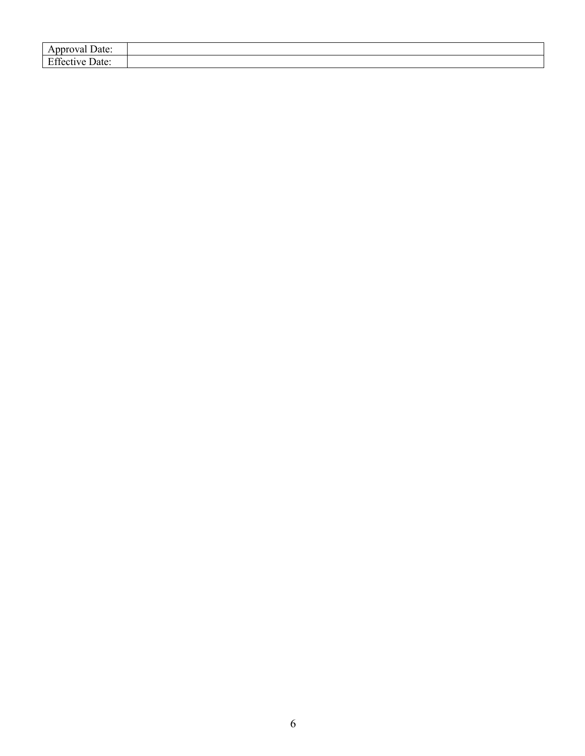| Date:<br>$A\mathsf{p}$<br>лоуаг                     |  |
|-----------------------------------------------------|--|
| $\Gamma$ $\alpha$<br>$\sim$<br>Date:<br>:cuve<br>பட |  |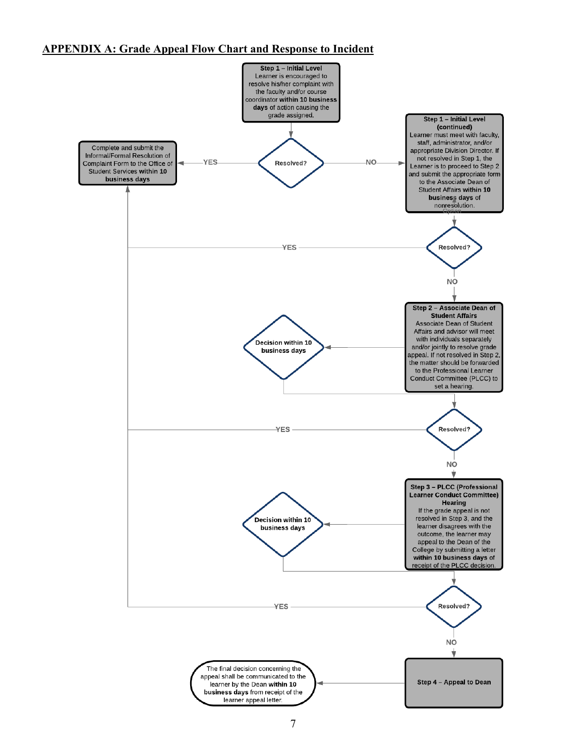#### **APPENDIX A: Grade Appeal Flow Chart and Response to Incident**

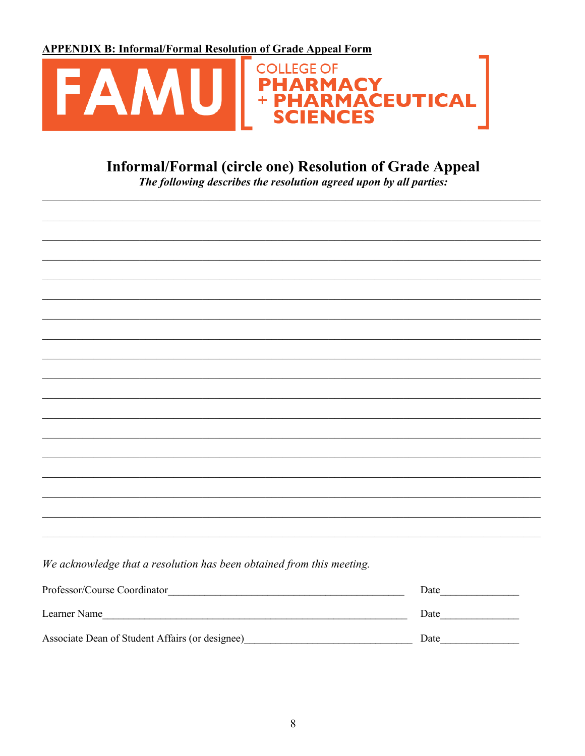**APPENDIX B: Informal/Formal Resolution of Grade Appeal Form** 



# Informal/Formal (circle one) Resolution of Grade Appeal

The following describes the resolution agreed upon by all parties:

| We acknowledge that a resolution has been obtained from this meeting. |      |
|-----------------------------------------------------------------------|------|
|                                                                       |      |
| Learner Name                                                          |      |
| Associate Dean of Student Affairs (or designee)                       | Date |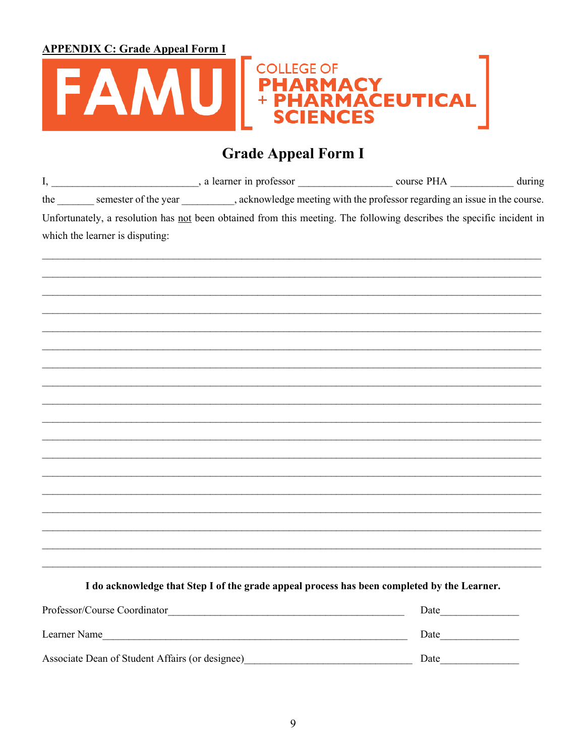**APPENDIX C: Grade Appeal Form I** 



# **Grade Appeal Form I**

|                                 | the semester of the year ________, acknowledge meeting with the professor regarding an issue in the course.           |  |
|---------------------------------|-----------------------------------------------------------------------------------------------------------------------|--|
|                                 | Unfortunately, a resolution has not been obtained from this meeting. The following describes the specific incident in |  |
| which the learner is disputing: |                                                                                                                       |  |
|                                 |                                                                                                                       |  |
|                                 |                                                                                                                       |  |
|                                 |                                                                                                                       |  |
|                                 |                                                                                                                       |  |
|                                 |                                                                                                                       |  |
|                                 |                                                                                                                       |  |
|                                 |                                                                                                                       |  |
|                                 | ,我们也不能在这里的人,我们也不能在这里的人,我们也不能在这里的人,我们也不能在这里的人,我们也不能在这里的人,我们也不能在这里的人,我们也不能在这里的人,我们也                                     |  |
|                                 |                                                                                                                       |  |
|                                 |                                                                                                                       |  |
|                                 |                                                                                                                       |  |
|                                 |                                                                                                                       |  |
|                                 |                                                                                                                       |  |
|                                 |                                                                                                                       |  |
|                                 |                                                                                                                       |  |
|                                 |                                                                                                                       |  |
|                                 |                                                                                                                       |  |
|                                 |                                                                                                                       |  |

I do acknowledge that Step I of the grade appeal process has been completed by the Learner.

| Professor/Course Coordinator                    | Date |
|-------------------------------------------------|------|
| Learner Name                                    | Date |
| Associate Dean of Student Affairs (or designee) | Date |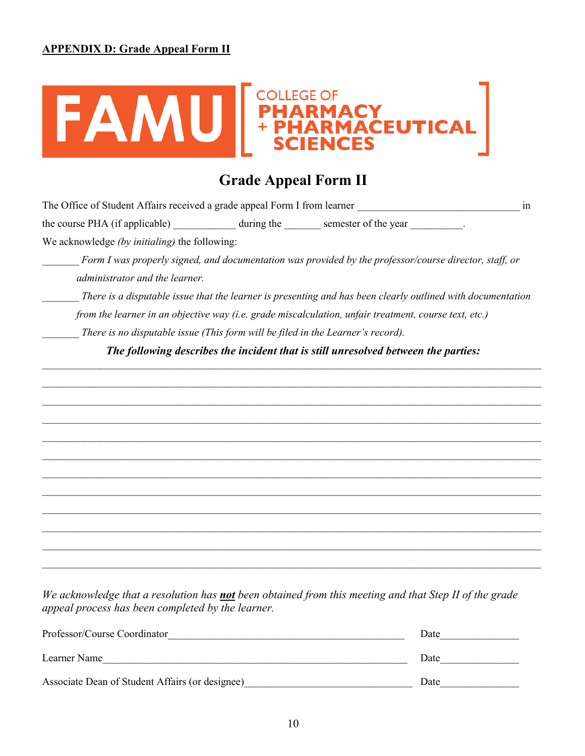

# **Grade Appeal Form II**

The Office of Student Affairs received a grade appeal Form I from learner  $\frac{1}{2}$  in

the course PHA (if applicable) \_\_\_\_\_\_\_\_\_\_\_\_ during the \_\_\_\_\_\_\_ semester of the year \_\_\_\_\_\_\_\_\_\_.

We acknowledge *(by initialing)* the following:

*Form I was properly signed, and documentation was provided by the professor/course director, staff, or administrator and the learner.*

*\_\_\_\_\_\_\_ There is a disputable issue that the learner is presenting and has been clearly outlined with documentation* 

*from the learner in an objective way (i.e. grade miscalculation, unfair treatment, course text, etc.)* 

*There is no disputable issue (This form will be filed in the Learner's record).* 

*The following describes the incident that is still unresolved between the parties:*  $\mathcal{L}_\mathcal{L} = \mathcal{L}_\mathcal{L} = \mathcal{L}_\mathcal{L} = \mathcal{L}_\mathcal{L} = \mathcal{L}_\mathcal{L} = \mathcal{L}_\mathcal{L} = \mathcal{L}_\mathcal{L} = \mathcal{L}_\mathcal{L} = \mathcal{L}_\mathcal{L} = \mathcal{L}_\mathcal{L} = \mathcal{L}_\mathcal{L} = \mathcal{L}_\mathcal{L} = \mathcal{L}_\mathcal{L} = \mathcal{L}_\mathcal{L} = \mathcal{L}_\mathcal{L} = \mathcal{L}_\mathcal{L} = \mathcal{L}_\mathcal{L}$ 

 $\_$ 

 $\mathcal{L}_\mathcal{L} = \mathcal{L}_\mathcal{L} = \mathcal{L}_\mathcal{L} = \mathcal{L}_\mathcal{L} = \mathcal{L}_\mathcal{L} = \mathcal{L}_\mathcal{L} = \mathcal{L}_\mathcal{L} = \mathcal{L}_\mathcal{L} = \mathcal{L}_\mathcal{L} = \mathcal{L}_\mathcal{L} = \mathcal{L}_\mathcal{L} = \mathcal{L}_\mathcal{L} = \mathcal{L}_\mathcal{L} = \mathcal{L}_\mathcal{L} = \mathcal{L}_\mathcal{L} = \mathcal{L}_\mathcal{L} = \mathcal{L}_\mathcal{L}$  $\mathcal{L}_\mathcal{L} = \mathcal{L}_\mathcal{L} = \mathcal{L}_\mathcal{L} = \mathcal{L}_\mathcal{L} = \mathcal{L}_\mathcal{L} = \mathcal{L}_\mathcal{L} = \mathcal{L}_\mathcal{L} = \mathcal{L}_\mathcal{L} = \mathcal{L}_\mathcal{L} = \mathcal{L}_\mathcal{L} = \mathcal{L}_\mathcal{L} = \mathcal{L}_\mathcal{L} = \mathcal{L}_\mathcal{L} = \mathcal{L}_\mathcal{L} = \mathcal{L}_\mathcal{L} = \mathcal{L}_\mathcal{L} = \mathcal{L}_\mathcal{L}$  $\mathcal{L}_\mathcal{L} = \mathcal{L}_\mathcal{L} = \mathcal{L}_\mathcal{L} = \mathcal{L}_\mathcal{L} = \mathcal{L}_\mathcal{L} = \mathcal{L}_\mathcal{L} = \mathcal{L}_\mathcal{L} = \mathcal{L}_\mathcal{L} = \mathcal{L}_\mathcal{L} = \mathcal{L}_\mathcal{L} = \mathcal{L}_\mathcal{L} = \mathcal{L}_\mathcal{L} = \mathcal{L}_\mathcal{L} = \mathcal{L}_\mathcal{L} = \mathcal{L}_\mathcal{L} = \mathcal{L}_\mathcal{L} = \mathcal{L}_\mathcal{L}$ 

 $\mathcal{L}_\mathcal{L} = \mathcal{L}_\mathcal{L} = \mathcal{L}_\mathcal{L} = \mathcal{L}_\mathcal{L} = \mathcal{L}_\mathcal{L} = \mathcal{L}_\mathcal{L} = \mathcal{L}_\mathcal{L} = \mathcal{L}_\mathcal{L} = \mathcal{L}_\mathcal{L} = \mathcal{L}_\mathcal{L} = \mathcal{L}_\mathcal{L} = \mathcal{L}_\mathcal{L} = \mathcal{L}_\mathcal{L} = \mathcal{L}_\mathcal{L} = \mathcal{L}_\mathcal{L} = \mathcal{L}_\mathcal{L} = \mathcal{L}_\mathcal{L}$  $\_$  $\mathcal{L}_\mathcal{L} = \mathcal{L}_\mathcal{L} = \mathcal{L}_\mathcal{L} = \mathcal{L}_\mathcal{L} = \mathcal{L}_\mathcal{L} = \mathcal{L}_\mathcal{L} = \mathcal{L}_\mathcal{L} = \mathcal{L}_\mathcal{L} = \mathcal{L}_\mathcal{L} = \mathcal{L}_\mathcal{L} = \mathcal{L}_\mathcal{L} = \mathcal{L}_\mathcal{L} = \mathcal{L}_\mathcal{L} = \mathcal{L}_\mathcal{L} = \mathcal{L}_\mathcal{L} = \mathcal{L}_\mathcal{L} = \mathcal{L}_\mathcal{L}$  $\_$  $\mathcal{L}_\mathcal{L} = \mathcal{L}_\mathcal{L} = \mathcal{L}_\mathcal{L} = \mathcal{L}_\mathcal{L} = \mathcal{L}_\mathcal{L} = \mathcal{L}_\mathcal{L} = \mathcal{L}_\mathcal{L} = \mathcal{L}_\mathcal{L} = \mathcal{L}_\mathcal{L} = \mathcal{L}_\mathcal{L} = \mathcal{L}_\mathcal{L} = \mathcal{L}_\mathcal{L} = \mathcal{L}_\mathcal{L} = \mathcal{L}_\mathcal{L} = \mathcal{L}_\mathcal{L} = \mathcal{L}_\mathcal{L} = \mathcal{L}_\mathcal{L}$ 

*We acknowledge that a resolution has not been obtained from this meeting and that Step II of the grade appeal process has been completed by the learner.*

| Professor/Course Coordinator                    | Date |
|-------------------------------------------------|------|
| Learner Name                                    | Date |
| Associate Dean of Student Affairs (or designee) | Date |